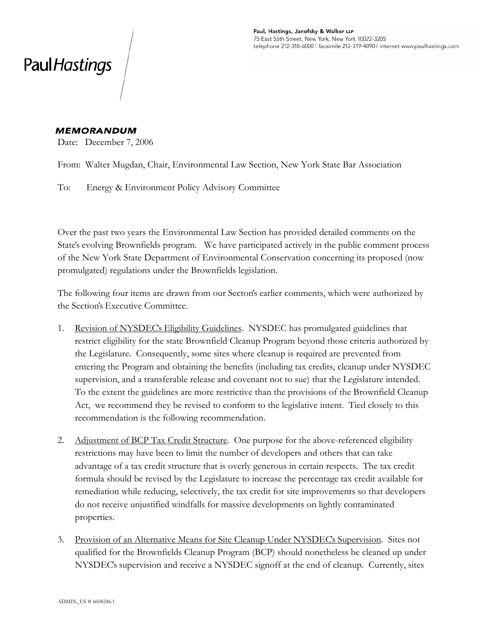## Paul Hastings

## **MEMORANDUM**

Date: December 7, 2006

From: Walter Mugdan, Chair, Environmental Law Section, New York State Bar Association

To: Energy & Environment Policy Advisory Committee

Over the past two years the Environmental Law Section has provided detailed comments on the State's evolving Brownfields program. We have participated actively in the public comment process of the New York State Department of Environmental Conservation concerning its proposed (now promulgated) regulations under the Brownfields legislation.

The following four items are drawn from our Secton's earlier comments, which were authorized by the Section's Executive Committee.

- 1. Revision of NYSDEC's Eligibility Guidelines. NYSDEC has promulgated guidelines that restrict eligibility for the state Brownfield Cleanup Program beyond those criteria authorized by the Legislature. Consequently, some sites where cleanup is required are prevented from entering the Program and obtaining the benefits (including tax credits, cleanup under NYSDEC supervision, and a transferable release and covenant not to sue) that the Legislature intended. To the extent the guidelines are more restrictive than the provisions of the Brownfield Cleanup Act, we recommend they be revised to conform to the legislative intent. Tied closely to this recommendation is the following recommendation.
- 2. Adjustment of BCP Tax Credit Structure. One purpose for the above-referenced eligibility restrictions may have been to limit the number of developers and others that can take advantage of a tax credit structure that is overly generous in certain respects. The tax credit formula should be revised by the Legislature to increase the percentage tax credit available for remediation while reducing, selectively, the tax credit for site improvements so that developers do not receive unjustified windfalls for massive developments on lightly contaminated properties.
- 3. Provision of an Alternative Means for Site Cleanup Under NYSDEC's Supervision. Sites not qualified for the Brownfields Cleanup Program (BCP) should nonetheless be cleaned up under NYSDEC's supervision and receive a NYSDEC signoff at the end of cleanup. Currently, sites